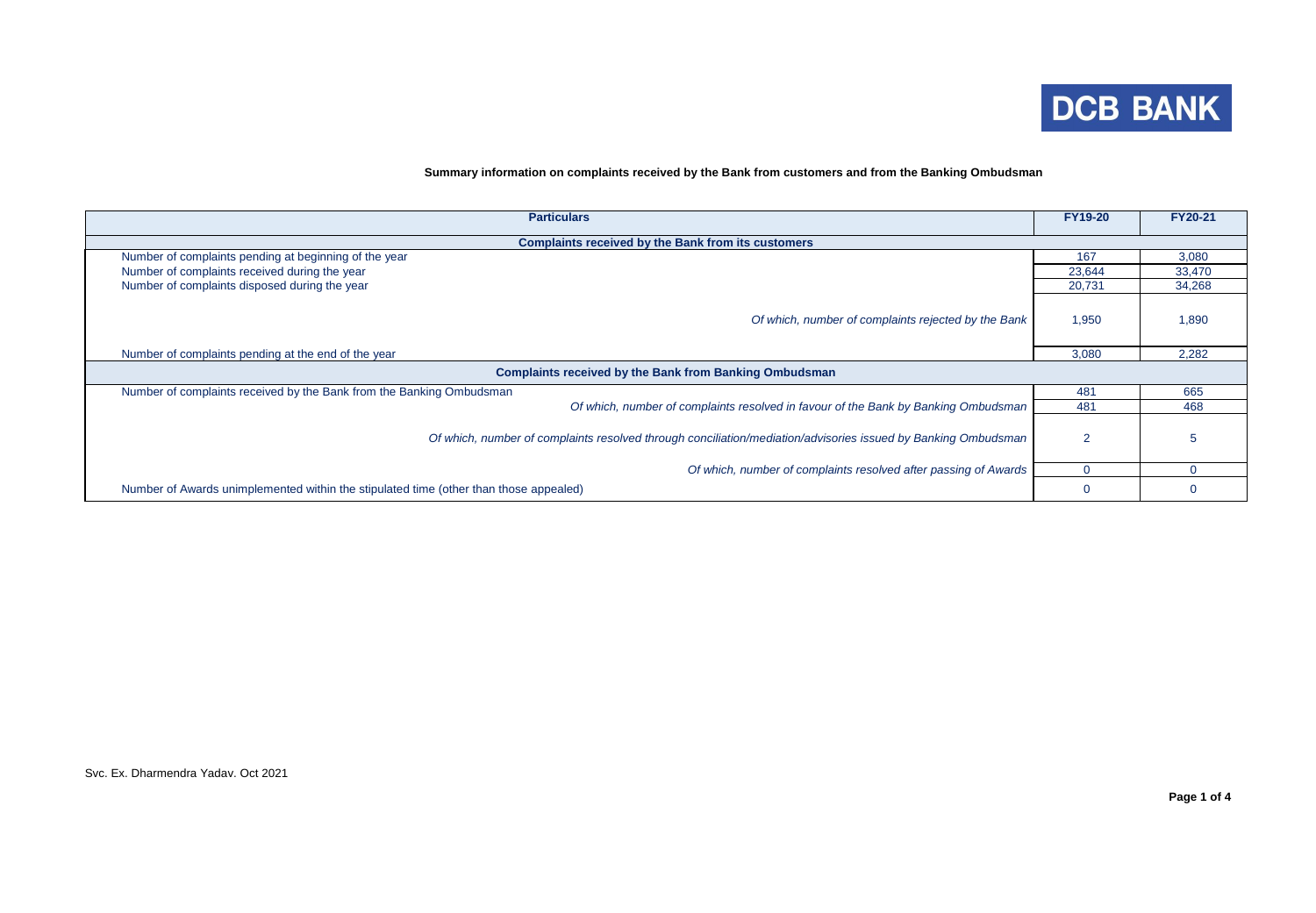

## **Summary information on complaints received by the Bank from customers and from the Banking Ombudsman**

| <b>Particulars</b>                                                                                            | <b>FY19-20</b> | <b>FY20-21</b> |  |  |  |  |  |  |  |
|---------------------------------------------------------------------------------------------------------------|----------------|----------------|--|--|--|--|--|--|--|
| <b>Complaints received by the Bank from its customers</b>                                                     |                |                |  |  |  |  |  |  |  |
| Number of complaints pending at beginning of the year                                                         | 167            | 3,080          |  |  |  |  |  |  |  |
| Number of complaints received during the year                                                                 | 23,644         | 33,470         |  |  |  |  |  |  |  |
| Number of complaints disposed during the year                                                                 | 20,731         | 34,268         |  |  |  |  |  |  |  |
| Of which, number of complaints rejected by the Bank                                                           | 1,950          | 1,890          |  |  |  |  |  |  |  |
| Number of complaints pending at the end of the year                                                           | 3,080          | 2,282          |  |  |  |  |  |  |  |
| <b>Complaints received by the Bank from Banking Ombudsman</b>                                                 |                |                |  |  |  |  |  |  |  |
| Number of complaints received by the Bank from the Banking Ombudsman                                          | 481            | 665            |  |  |  |  |  |  |  |
| Of which, number of complaints resolved in favour of the Bank by Banking Ombudsman                            | 481            | 468            |  |  |  |  |  |  |  |
| Of which, number of complaints resolved through conciliation/mediation/advisories issued by Banking Ombudsman |                |                |  |  |  |  |  |  |  |
| Of which, number of complaints resolved after passing of Awards                                               |                | $\Omega$       |  |  |  |  |  |  |  |
| Number of Awards unimplemented within the stipulated time (other than those appealed)                         |                |                |  |  |  |  |  |  |  |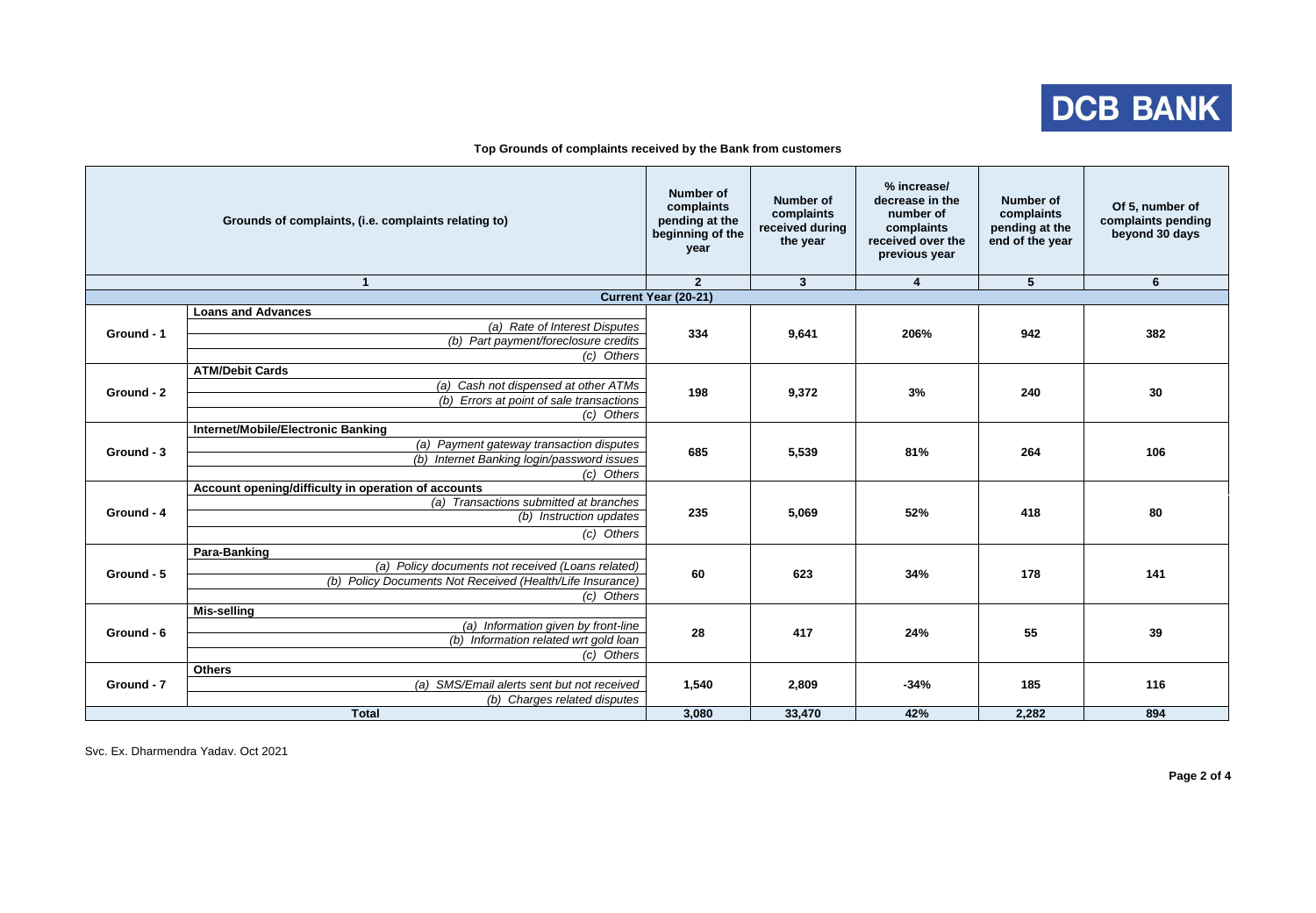

|              | Grounds of complaints, (i.e. complaints relating to)      | <b>Number of</b><br>complaints<br>pending at the<br>beginning of the<br>year | <b>Number of</b><br>complaints<br>received during<br>the year | % increase/<br>decrease in the<br>number of<br>complaints<br>received over the<br>previous year | <b>Number of</b><br>complaints<br>pending at the<br>end of the year | Of 5, number of<br>complaints pending<br>beyond 30 days |
|--------------|-----------------------------------------------------------|------------------------------------------------------------------------------|---------------------------------------------------------------|-------------------------------------------------------------------------------------------------|---------------------------------------------------------------------|---------------------------------------------------------|
|              | $\overline{1}$                                            | $\overline{2}$                                                               | $\overline{\mathbf{3}}$                                       | 4                                                                                               | $\overline{5}$                                                      | $6\phantom{1}$                                          |
|              |                                                           | <b>Current Year (20-21)</b>                                                  |                                                               |                                                                                                 |                                                                     |                                                         |
|              | <b>Loans and Advances</b>                                 | 334                                                                          |                                                               | 206%                                                                                            | 942                                                                 | 382                                                     |
| Ground - 1   | (a) Rate of Interest Disputes                             |                                                                              | 9,641                                                         |                                                                                                 |                                                                     |                                                         |
|              | (b) Part payment/foreclosure credits                      |                                                                              |                                                               |                                                                                                 |                                                                     |                                                         |
|              | (c) Others                                                |                                                                              |                                                               |                                                                                                 |                                                                     |                                                         |
| Ground - 2   | <b>ATM/Debit Cards</b>                                    |                                                                              |                                                               | 3%                                                                                              | 240                                                                 | 30                                                      |
|              | (a) Cash not dispensed at other ATMs                      |                                                                              |                                                               |                                                                                                 |                                                                     |                                                         |
|              | (b) Errors at point of sale transactions                  | 198                                                                          | 9,372                                                         |                                                                                                 |                                                                     |                                                         |
|              | (c) Others                                                |                                                                              |                                                               |                                                                                                 |                                                                     |                                                         |
|              | <b>Internet/Mobile/Electronic Banking</b>                 | 685                                                                          | 5,539                                                         | 81%                                                                                             | 264                                                                 | 106                                                     |
|              | (a) Payment gateway transaction disputes                  |                                                                              |                                                               |                                                                                                 |                                                                     |                                                         |
| Ground - 3   | (b) Internet Banking login/password issues                |                                                                              |                                                               |                                                                                                 |                                                                     |                                                         |
|              | (c) Others                                                |                                                                              |                                                               |                                                                                                 |                                                                     |                                                         |
|              | Account opening/difficulty in operation of accounts       | 235                                                                          |                                                               | 52%                                                                                             | 418                                                                 | 80                                                      |
|              | (a) Transactions submitted at branches                    |                                                                              |                                                               |                                                                                                 |                                                                     |                                                         |
| Ground - 4   | (b) Instruction updates                                   |                                                                              | 5,069                                                         |                                                                                                 |                                                                     |                                                         |
|              | (c) Others                                                |                                                                              |                                                               |                                                                                                 |                                                                     |                                                         |
|              |                                                           |                                                                              |                                                               |                                                                                                 |                                                                     |                                                         |
|              | Para-Banking                                              | 60                                                                           | 623                                                           | 34%                                                                                             | 178                                                                 | 141                                                     |
| Ground - 5   | (a) Policy documents not received (Loans related)         |                                                                              |                                                               |                                                                                                 |                                                                     |                                                         |
|              | (b) Policy Documents Not Received (Health/Life Insurance) |                                                                              |                                                               |                                                                                                 |                                                                     |                                                         |
|              | (c) Others                                                |                                                                              |                                                               |                                                                                                 |                                                                     |                                                         |
|              | <b>Mis-selling</b>                                        |                                                                              |                                                               |                                                                                                 |                                                                     |                                                         |
| Ground - 6   | (a) Information given by front-line                       | 28                                                                           | 417                                                           | 24%                                                                                             | 55                                                                  | 39                                                      |
|              | (b) Information related wrt gold loan                     |                                                                              |                                                               |                                                                                                 |                                                                     |                                                         |
|              | (c) Others                                                |                                                                              |                                                               |                                                                                                 |                                                                     |                                                         |
| Ground - 7   | <b>Others</b>                                             |                                                                              |                                                               | $-34%$                                                                                          |                                                                     | 116                                                     |
|              | (a) SMS/Email alerts sent but not received                | 1,540                                                                        | 2,809                                                         |                                                                                                 | 185                                                                 |                                                         |
|              | (b) Charges related disputes                              |                                                                              |                                                               |                                                                                                 |                                                                     |                                                         |
| <b>Total</b> |                                                           | 3,080                                                                        | 33,470                                                        | 42%                                                                                             | 2,282                                                               | 894                                                     |

**Top Grounds of complaints received by the Bank from customers**

Svc. Ex. Dharmendra Yadav. Oct 2021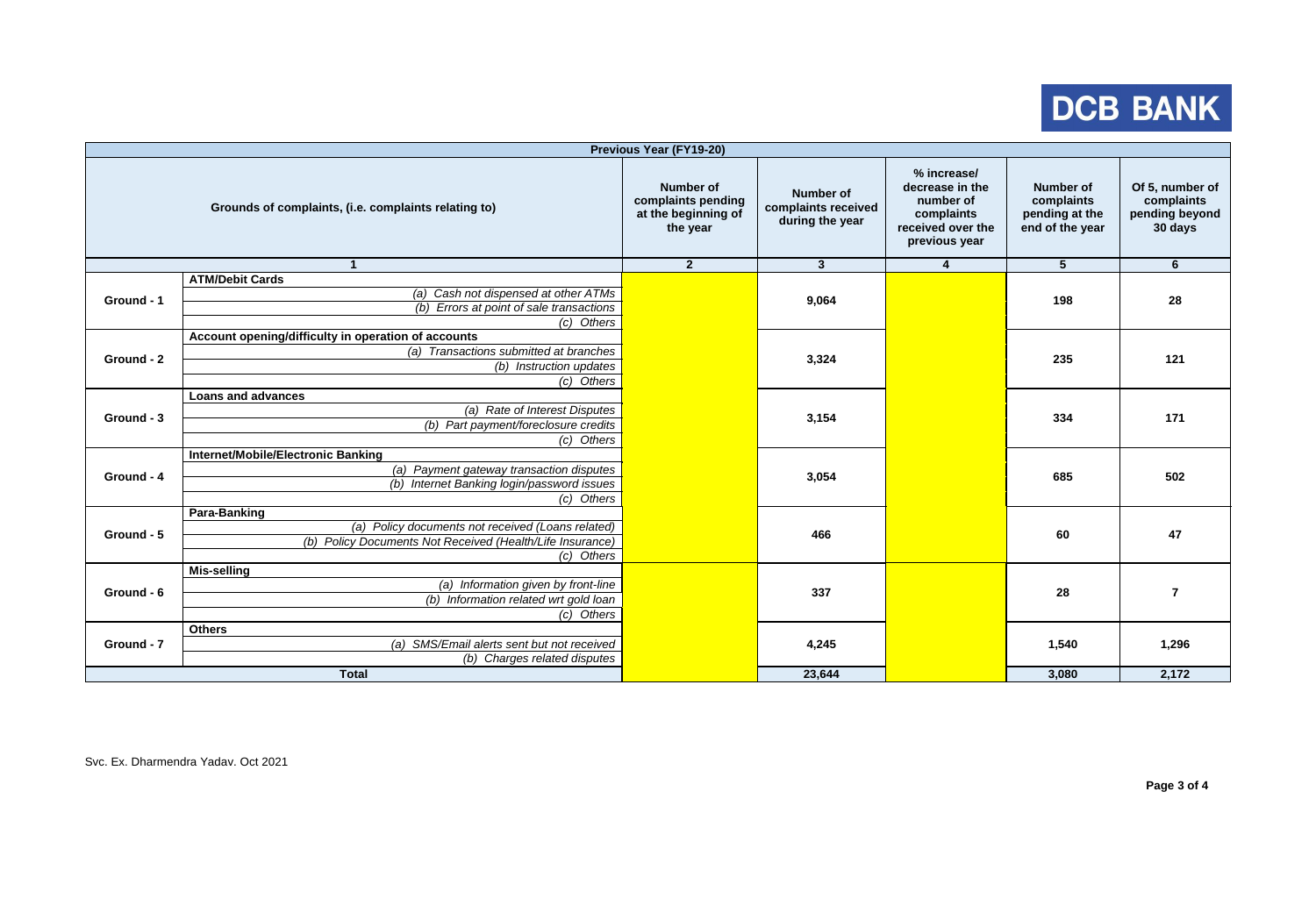## DCB BANK

| <b>Previous Year (FY19-20)</b> |                                                           |                                                                    |                                                            |                                                                                                 |                                                              |                                                            |    |    |
|--------------------------------|-----------------------------------------------------------|--------------------------------------------------------------------|------------------------------------------------------------|-------------------------------------------------------------------------------------------------|--------------------------------------------------------------|------------------------------------------------------------|----|----|
|                                | Grounds of complaints, (i.e. complaints relating to)      | Number of<br>complaints pending<br>at the beginning of<br>the year | <b>Number of</b><br>complaints received<br>during the year | % increase/<br>decrease in the<br>number of<br>complaints<br>received over the<br>previous year | Number of<br>complaints<br>pending at the<br>end of the year | Of 5, number of<br>complaints<br>pending beyond<br>30 days |    |    |
|                                | $\mathbf{1}$                                              | $\overline{2}$                                                     | 3 <sup>1</sup>                                             | $\overline{\mathbf{4}}$                                                                         | $\overline{5}$                                               | $6\phantom{1}$                                             |    |    |
|                                | <b>ATM/Debit Cards</b>                                    |                                                                    |                                                            |                                                                                                 |                                                              |                                                            |    |    |
| Ground - 1                     | (a) Cash not dispensed at other ATMs                      |                                                                    |                                                            | 9,064                                                                                           | 198                                                          | 28                                                         |    |    |
|                                | (b) Errors at point of sale transactions                  |                                                                    |                                                            |                                                                                                 |                                                              |                                                            |    |    |
|                                | $(c)$ Others                                              |                                                                    |                                                            |                                                                                                 |                                                              |                                                            |    |    |
| Ground - 2                     | Account opening/difficulty in operation of accounts       |                                                                    | 3,324                                                      |                                                                                                 |                                                              | 121                                                        |    |    |
|                                | (a) Transactions submitted at branches                    |                                                                    |                                                            |                                                                                                 | 235                                                          |                                                            |    |    |
|                                | (b) Instruction updates                                   |                                                                    |                                                            |                                                                                                 |                                                              |                                                            |    |    |
|                                | (c) Others                                                |                                                                    |                                                            |                                                                                                 |                                                              |                                                            |    |    |
| Ground - 3                     | <b>Loans and advances</b>                                 |                                                                    | 3,154                                                      |                                                                                                 | 334                                                          | 171                                                        |    |    |
|                                | (a) Rate of Interest Disputes                             |                                                                    |                                                            |                                                                                                 |                                                              |                                                            |    |    |
|                                | (b) Part payment/foreclosure credits                      |                                                                    |                                                            |                                                                                                 |                                                              |                                                            |    |    |
|                                | (c) Others                                                |                                                                    |                                                            |                                                                                                 |                                                              |                                                            |    |    |
|                                | <b>Internet/Mobile/Electronic Banking</b>                 |                                                                    | 3,054                                                      |                                                                                                 |                                                              |                                                            |    |    |
| Ground - 4                     | (a) Payment gateway transaction disputes                  |                                                                    |                                                            | 685                                                                                             | 502                                                          |                                                            |    |    |
|                                | (b) Internet Banking login/password issues                |                                                                    |                                                            |                                                                                                 |                                                              |                                                            |    |    |
|                                | (c) Others                                                |                                                                    |                                                            |                                                                                                 |                                                              |                                                            |    |    |
|                                | <b>Para-Banking</b>                                       |                                                                    | 466                                                        |                                                                                                 |                                                              |                                                            |    |    |
| Ground - 5                     | (a) Policy documents not received (Loans related)         |                                                                    |                                                            |                                                                                                 |                                                              |                                                            | 60 | 47 |
|                                | (b) Policy Documents Not Received (Health/Life Insurance) |                                                                    |                                                            |                                                                                                 |                                                              |                                                            |    |    |
|                                | $(c)$ Others                                              |                                                                    |                                                            |                                                                                                 |                                                              |                                                            |    |    |
|                                | <b>Mis-selling</b>                                        |                                                                    |                                                            |                                                                                                 |                                                              |                                                            |    |    |
| Ground - 6                     | (a) Information given by front-line                       |                                                                    | 337                                                        |                                                                                                 | 28                                                           | $\overline{7}$                                             |    |    |
|                                | (b) Information related wrt gold loan                     |                                                                    |                                                            |                                                                                                 |                                                              |                                                            |    |    |
|                                | (c) Others                                                |                                                                    |                                                            |                                                                                                 |                                                              |                                                            |    |    |
| Ground - 7                     | <b>Others</b>                                             |                                                                    | 4,245                                                      |                                                                                                 |                                                              |                                                            |    |    |
|                                | (a) SMS/Email alerts sent but not received                |                                                                    |                                                            |                                                                                                 | 1,540                                                        | 1,296                                                      |    |    |
|                                | (b) Charges related disputes                              |                                                                    |                                                            |                                                                                                 |                                                              |                                                            |    |    |
| <b>Total</b>                   |                                                           |                                                                    | 23,644                                                     |                                                                                                 | 3,080                                                        | 2,172                                                      |    |    |